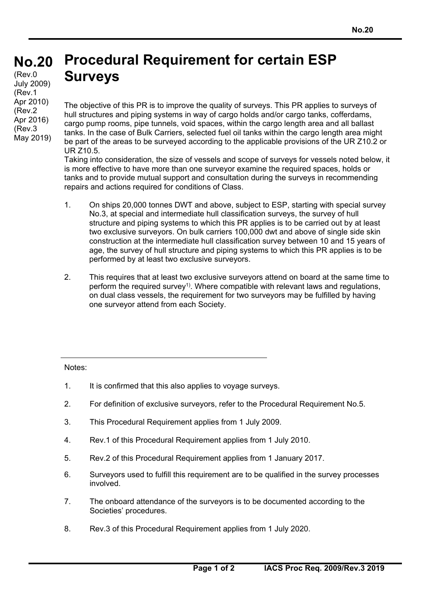## **Procedural Requirement for certain ESP Surveys No.20**  (Rev.0 July 2009)

(Rev.1 Apr 2010) (Rev.2 Apr 2016) (Rev.3 May 2019)

The objective of this PR is to improve the quality of surveys. This PR applies to surveys of hull structures and piping systems in way of cargo holds and/or cargo tanks, cofferdams, cargo pump rooms, pipe tunnels, void spaces, within the cargo length area and all ballast tanks. In the case of Bulk Carriers, selected fuel oil tanks within the cargo length area might be part of the areas to be surveyed according to the applicable provisions of the UR Z10.2 or UR Z10.5.

Taking into consideration, the size of vessels and scope of surveys for vessels noted below, it is more effective to have more than one surveyor examine the required spaces, holds or tanks and to provide mutual support and consultation during the surveys in recommending repairs and actions required for conditions of Class.

- 1. On ships 20,000 tonnes DWT and above, subject to ESP, starting with special survey No.3, at special and intermediate hull classification surveys, the survey of hull structure and piping systems to which this PR applies is to be carried out by at least two exclusive surveyors. On bulk carriers 100,000 dwt and above of single side skin construction at the intermediate hull classification survey between 10 and 15 years of age, the survey of hull structure and piping systems to which this PR applies is to be performed by at least two exclusive surveyors.
- 2. This requires that at least two exclusive surveyors attend on board at the same time to perform the required survey<sup>1)</sup>. Where compatible with relevant laws and requiations, on dual class vessels, the requirement for two surveyors may be fulfilled by having one surveyor attend from each Society.

Notes:

- 1. It is confirmed that this also applies to voyage surveys.
- 2. For definition of exclusive surveyors, refer to the Procedural Requirement No.5.
- 3. This Procedural Requirement applies from 1 July 2009.
- 4. Rev.1 of this Procedural Requirement applies from 1 July 2010.
- 5. Rev.2 of this Procedural Requirement applies from 1 January 2017.
- 6. Surveyors used to fulfill this requirement are to be qualified in the survey processes involved.
- 7. The onboard attendance of the surveyors is to be documented according to the Societies' procedures.
- 8. Rev.3 of this Procedural Requirement applies from 1 July 2020.